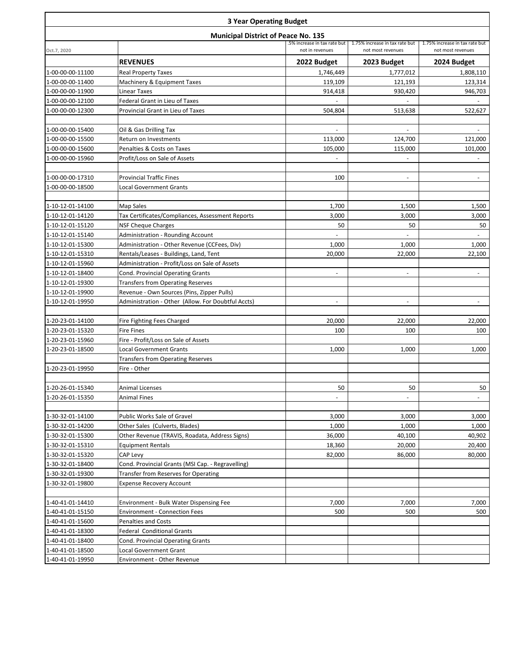| <b>3 Year Operating Budget</b><br><b>Municipal District of Peace No. 135</b> |                                                                    |                          |                |             |  |
|------------------------------------------------------------------------------|--------------------------------------------------------------------|--------------------------|----------------|-------------|--|
|                                                                              |                                                                    |                          |                |             |  |
|                                                                              | <b>REVENUES</b>                                                    | 2022 Budget              | 2023 Budget    | 2024 Budget |  |
| 1-00-00-00-11100                                                             | <b>Real Property Taxes</b>                                         | 1,746,449                | 1,777,012      | 1,808,110   |  |
| 1-00-00-00-11400                                                             | Machinery & Equipment Taxes                                        | 119,109                  | 121,193        | 123,314     |  |
| 1-00-00-00-11900                                                             | Linear Taxes                                                       | 914,418                  | 930,420        | 946,703     |  |
| 1-00-00-00-12100                                                             | Federal Grant in Lieu of Taxes                                     |                          |                |             |  |
| 1-00-00-00-12300                                                             | Provincial Grant in Lieu of Taxes                                  | 504,804                  | 513,638        | 522,627     |  |
| 1-00-00-00-15400                                                             | Oil & Gas Drilling Tax                                             | $\blacksquare$           | $\blacksquare$ |             |  |
| 1-00-00-00-15500                                                             | Return on Investments                                              | 113,000                  | 124,700        | 121,000     |  |
| 1-00-00-00-15600                                                             | Penalties & Costs on Taxes                                         | 105,000                  | 115,000        | 101,000     |  |
| 1-00-00-00-15960                                                             | Profit/Loss on Sale of Assets                                      |                          |                |             |  |
| 1-00-00-00-17310                                                             | <b>Provincial Traffic Fines</b>                                    | 100                      |                |             |  |
| 1-00-00-00-18500                                                             | <b>Local Government Grants</b>                                     |                          |                |             |  |
|                                                                              |                                                                    |                          |                |             |  |
| 1-10-12-01-14100                                                             | Map Sales                                                          | 1,700                    | 1,500          | 1,500       |  |
| 1-10-12-01-14120                                                             | Tax Certificates/Compliances, Assessment Reports                   | 3,000                    | 3,000          | 3,000       |  |
| 1-10-12-01-15120                                                             | <b>NSF Cheque Charges</b>                                          | 50                       | 50             | 50          |  |
| 1-10-12-01-15140                                                             | <b>Administration - Rounding Account</b>                           | $\blacksquare$           | $\bar{a}$      | ä,          |  |
| 1-10-12-01-15300                                                             | Administration - Other Revenue (CCFees, Div)                       | 1,000                    | 1,000          | 1,000       |  |
| 1-10-12-01-15310                                                             | Rentals/Leases - Buildings, Land, Tent                             | 20,000                   | 22,000         | 22,100      |  |
| 1-10-12-01-15960                                                             | Administration - Profit/Loss on Sale of Assets                     |                          |                |             |  |
| 1-10-12-01-18400                                                             | <b>Cond. Provincial Operating Grants</b>                           |                          |                |             |  |
| 1-10-12-01-19300                                                             | Transfers from Operating Reserves                                  |                          |                |             |  |
| 1-10-12-01-19900                                                             | Revenue - Own Sources (Pins, Zipper Pulls)                         |                          |                |             |  |
| 1-10-12-01-19950                                                             | Administration - Other (Allow. For Doubtful Accts)                 | $\overline{\phantom{a}}$ |                |             |  |
| 1-20-23-01-14100                                                             | Fire Fighting Fees Charged                                         | 20,000                   | 22,000         | 22,000      |  |
| 1-20-23-01-15320                                                             | <b>Fire Fines</b>                                                  | 100                      | 100            | 100         |  |
| 1-20-23-01-15960                                                             | Fire - Profit/Loss on Sale of Assets                               |                          |                |             |  |
| 1-20-23-01-18500                                                             | <b>Local Government Grants</b>                                     | 1,000                    | 1,000          | 1,000       |  |
|                                                                              | <b>Transfers from Operating Reserves</b>                           |                          |                |             |  |
| 1-20-23-01-19950                                                             | Fire - Other                                                       |                          |                |             |  |
| 1-20-26-01-15340                                                             | Animal Licenses                                                    | 50                       | 50             | 50          |  |
| 1-20-26-01-15350                                                             | Animal Fines                                                       |                          |                |             |  |
|                                                                              |                                                                    |                          |                |             |  |
| 1-30-32-01-14100                                                             | Public Works Sale of Gravel                                        | 3,000                    | 3,000          | 3,000       |  |
| 1-30-32-01-14200                                                             | Other Sales (Culverts, Blades)                                     | 1,000                    | 1,000          | 1,000       |  |
| 1-30-32-01-15300                                                             | Other Revenue (TRAVIS, Roadata, Address Signs)                     | 36,000                   | 40,100         | 40,902      |  |
| 1-30-32-01-15310                                                             | <b>Equipment Rentals</b>                                           | 18,360                   | 20,000         | 20,400      |  |
| 1-30-32-01-15320                                                             | CAP Levy                                                           | 82,000                   | 86,000         | 80,000      |  |
| 1-30-32-01-18400                                                             | Cond. Provincial Grants (MSI Cap. - Regravelling)                  |                          |                |             |  |
| 1-30-32-01-19300                                                             | <b>Transfer from Reserves for Operating</b>                        |                          |                |             |  |
| 1-30-32-01-19800                                                             | <b>Expense Recovery Account</b>                                    |                          |                |             |  |
|                                                                              |                                                                    |                          |                |             |  |
| 1-40-41-01-14410                                                             | Environment - Bulk Water Dispensing Fee                            | 7,000                    | 7,000          | 7,000       |  |
| 1-40-41-01-15150                                                             | <b>Environment - Connection Fees</b>                               | 500                      | 500            | 500         |  |
| 1-40-41-01-15600                                                             | <b>Penalties and Costs</b>                                         |                          |                |             |  |
| 1-40-41-01-18300                                                             | <b>Federal Conditional Grants</b>                                  |                          |                |             |  |
| 1-40-41-01-18400<br>1-40-41-01-18500                                         | <b>Cond. Provincial Operating Grants</b><br>Local Government Grant |                          |                |             |  |
| 1-40-41-01-19950                                                             | Environment - Other Revenue                                        |                          |                |             |  |
|                                                                              |                                                                    |                          |                |             |  |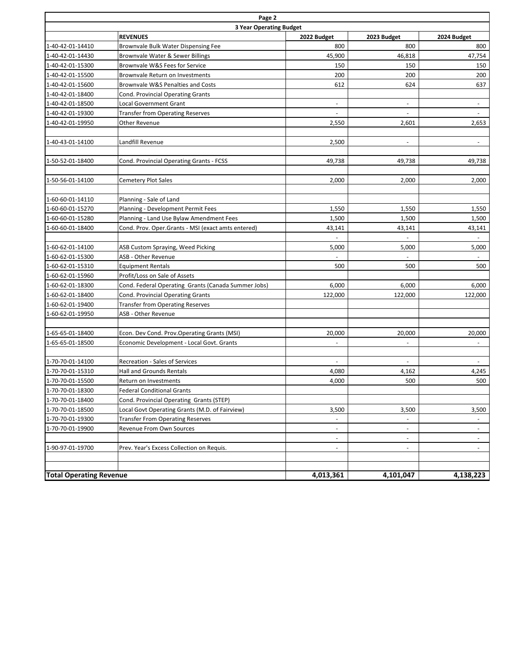| Page 2                         |                                                     |                          |                          |                          |  |
|--------------------------------|-----------------------------------------------------|--------------------------|--------------------------|--------------------------|--|
| <b>3 Year Operating Budget</b> |                                                     |                          |                          |                          |  |
|                                | <b>REVENUES</b>                                     | 2022 Budget              | 2023 Budget              | 2024 Budget              |  |
| 1-40-42-01-14410               | Brownvale Bulk Water Dispensing Fee                 | 800                      | 800                      | 800                      |  |
| 1-40-42-01-14430               | Brownvale Water & Sewer Billings                    | 45,900                   | 46,818                   | 47,754                   |  |
| 1-40-42-01-15300               | Brownvale W&S Fees for Service                      | 150                      | 150                      | 150                      |  |
| 1-40-42-01-15500               | Brownvale Return on Investments                     | 200                      | 200                      | 200                      |  |
| 1-40-42-01-15600               | Brownvale W&S Penalties and Costs                   | 612                      | 624                      | 637                      |  |
| 1-40-42-01-18400               | <b>Cond. Provincial Operating Grants</b>            |                          |                          |                          |  |
| 1-40-42-01-18500               | <b>Local Government Grant</b>                       | $\overline{\phantom{a}}$ | $\blacksquare$           | $\overline{\phantom{a}}$ |  |
| 1-40-42-01-19300               | <b>Transfer from Operating Reserves</b>             | $\blacksquare$           | $\omega$                 |                          |  |
| 1-40-42-01-19950               | Other Revenue                                       | 2,550                    | 2,601                    | 2,653                    |  |
|                                |                                                     |                          |                          |                          |  |
| 1-40-43-01-14100               | Landfill Revenue                                    | 2,500                    |                          |                          |  |
|                                |                                                     |                          |                          |                          |  |
| 1-50-52-01-18400               | Cond. Provincial Operating Grants - FCSS            | 49,738                   | 49,738                   | 49,738                   |  |
|                                |                                                     |                          |                          |                          |  |
| 1-50-56-01-14100               | <b>Cemetery Plot Sales</b>                          | 2,000                    | 2,000                    | 2,000                    |  |
|                                |                                                     |                          |                          |                          |  |
| 1-60-60-01-14110               | Planning - Sale of Land                             |                          |                          |                          |  |
| 1-60-60-01-15270               | Planning - Development Permit Fees                  | 1,550                    | 1,550                    | 1,550                    |  |
| 1-60-60-01-15280               | Planning - Land Use Bylaw Amendment Fees            | 1,500                    | 1,500                    | 1,500                    |  |
| 1-60-60-01-18400               | Cond. Prov. Oper.Grants - MSI (exact amts entered)  | 43,141                   | 43,141                   | 43,141                   |  |
|                                |                                                     |                          |                          |                          |  |
| 1-60-62-01-14100               | ASB Custom Spraying, Weed Picking                   | 5,000                    | 5,000                    | 5,000                    |  |
| 1-60-62-01-15300               | ASB - Other Revenue                                 |                          |                          |                          |  |
| 1-60-62-01-15310               | <b>Equipment Rentals</b>                            | 500                      | 500                      | 500                      |  |
| 1-60-62-01-15960               | Profit/Loss on Sale of Assets                       |                          |                          |                          |  |
| 1-60-62-01-18300               | Cond. Federal Operating Grants (Canada Summer Jobs) | 6,000                    | 6,000                    | 6,000                    |  |
| 1-60-62-01-18400               | Cond. Provincial Operating Grants                   | 122,000                  | 122,000                  | 122,000                  |  |
| 1-60-62-01-19400               | <b>Transfer from Operating Reserves</b>             |                          |                          |                          |  |
| 1-60-62-01-19950               | ASB - Other Revenue                                 |                          |                          |                          |  |
|                                |                                                     |                          |                          |                          |  |
| 1-65-65-01-18400               | Econ. Dev Cond. Prov. Operating Grants (MSI)        | 20,000                   | 20,000                   | 20,000                   |  |
| 1-65-65-01-18500               | Economic Development - Local Govt. Grants           |                          |                          |                          |  |
|                                |                                                     |                          |                          |                          |  |
| 1-70-70-01-14100               | Recreation - Sales of Services                      | $\overline{\phantom{a}}$ | $\blacksquare$           |                          |  |
| 1-70-70-01-15310               | <b>Hall and Grounds Rentals</b>                     | 4,080                    | 4,162                    | 4,245                    |  |
| 1-70-70-01-15500               | Return on Investments                               | 4,000                    | 500                      | 500                      |  |
| 1-70-70-01-18300               | <b>Federal Conditional Grants</b>                   |                          |                          |                          |  |
| 1-70-70-01-18400               | Cond. Provincial Operating Grants (STEP)            |                          |                          |                          |  |
| 1-70-70-01-18500               | Local Govt Operating Grants (M.D. of Fairview)      | 3,500                    | 3,500                    | 3,500                    |  |
| 1-70-70-01-19300               | <b>Transfer From Operating Reserves</b>             | $\blacksquare$           | $\blacksquare$           |                          |  |
| 1-70-70-01-19900               | Revenue From Own Sources                            | $\blacksquare$           | $\overline{\phantom{a}}$ | $\blacksquare$           |  |
|                                |                                                     | $\overline{\phantom{a}}$ | $\blacksquare$           | $\overline{\phantom{a}}$ |  |
| 1-90-97-01-19700               | Prev. Year's Excess Collection on Requis.           | $\overline{\phantom{a}}$ | $\overline{\phantom{a}}$ | $\overline{\phantom{a}}$ |  |
|                                |                                                     |                          |                          |                          |  |
|                                |                                                     |                          |                          |                          |  |
| <b>Total Operating Revenue</b> |                                                     | 4,013,361                | 4,101,047                | 4,138,223                |  |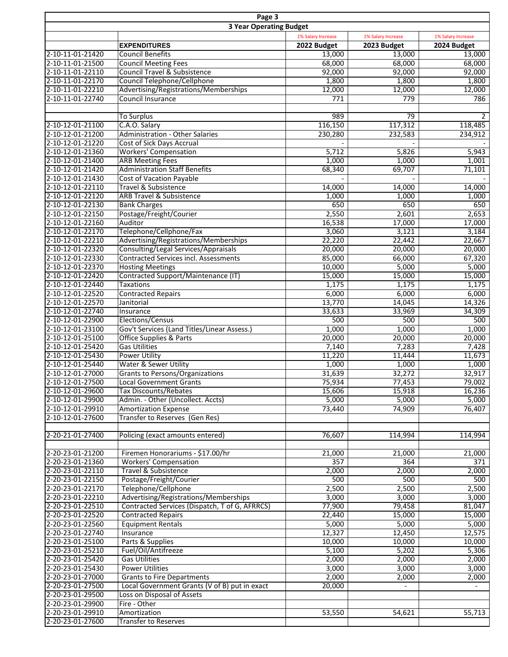| Page 3<br><b>3 Year Operating Budget</b> |                                                            |             |                          |                  |  |
|------------------------------------------|------------------------------------------------------------|-------------|--------------------------|------------------|--|
|                                          |                                                            |             |                          |                  |  |
|                                          | <b>EXPENDITURES</b>                                        | 2022 Budget | 2023 Budget              | 2024 Budget      |  |
| 2-10-11-01-21420                         | <b>Council Benefits</b>                                    | 13,000      | 13,000                   | 13,000           |  |
| 2-10-11-01-21500                         | <b>Council Meeting Fees</b>                                | 68,000      | 68,000                   | 68,000           |  |
| 2-10-11-01-22110                         | <b>Council Travel &amp; Subsistence</b>                    | 92,000      | 92,000                   | 92,000           |  |
| 2-10-11-01-22170                         | Council Telephone/Cellphone                                | 1,800       | 1,800                    | 1,800            |  |
| 2-10-11-01-22210                         | Advertising/Registrations/Memberships                      | 12,000      | 12,000                   | 12,000           |  |
| 2-10-11-01-22740                         | Council Insurance                                          | 771         | 779                      | 786              |  |
|                                          |                                                            |             |                          |                  |  |
|                                          | <b>To Surplus</b>                                          | 989         | 79                       | 2                |  |
| 2-10-12-01-21100                         | C.A.O. Salary                                              | 116,150     | 117,312                  | 118,485          |  |
| 2-10-12-01-21200                         | <b>Administration - Other Salaries</b>                     | 230,280     | 232,583                  | 234,912          |  |
| 2-10-12-01-21220                         | Cost of Sick Days Accrual                                  |             |                          |                  |  |
| 2-10-12-01-21360                         | <b>Workers' Compensation</b>                               | 5,712       | 5,826                    | 5,943            |  |
| 2-10-12-01-21400                         | <b>ARB Meeting Fees</b>                                    | 1,000       | 1,000                    | 1,001            |  |
| 2-10-12-01-21420                         | <b>Administration Staff Benefits</b>                       | 68,340      | 69,707                   | 71,101           |  |
| 2-10-12-01-21430                         | <b>Cost of Vacation Payable</b>                            |             |                          |                  |  |
| 2-10-12-01-22110                         | Travel & Subsistence                                       | 14,000      | 14,000                   | 14,000           |  |
| 2-10-12-01-22120                         | <b>ARB Travel &amp; Subsistence</b>                        | 1,000       | 1,000                    | 1,000            |  |
| 2-10-12-01-22130                         | <b>Bank Charges</b>                                        | 650         | 650                      | 650              |  |
| 2-10-12-01-22150                         | Postage/Freight/Courier                                    | 2,550       | 2,601                    | 2,653            |  |
| 2-10-12-01-22160                         | Auditor                                                    | 16,538      | 17,000                   | 17,000           |  |
| 2-10-12-01-22170                         | Telephone/Cellphone/Fax                                    | 3,060       | 3,121                    | 3,184            |  |
| 2-10-12-01-22210                         | Advertising/Registrations/Memberships                      | 22,220      | 22,442                   | 22,667           |  |
| 2-10-12-01-22320                         | Consulting/Legal Services/Appraisals                       | 20,000      | 20,000                   | 20,000           |  |
| 2-10-12-01-22330                         | <b>Contracted Services incl. Assessments</b>               | 85,000      | 66,000                   | 67,320           |  |
| 2-10-12-01-22370                         | <b>Hosting Meetings</b>                                    | 10,000      | 5,000                    | 5,000            |  |
| 2-10-12-01-22420                         | Contracted Support/Maintenance (IT)                        | 15,000      | 15,000                   | 15,000           |  |
| 2-10-12-01-22440                         | <b>Taxations</b>                                           | 1,175       | 1,175                    | 1,175            |  |
| 2-10-12-01-22520                         | <b>Contracted Repairs</b>                                  | 6,000       | 6,000                    | 6,000            |  |
| 2-10-12-01-22570                         | Janitorial                                                 | 13,770      | 14,045                   | 14,326           |  |
| 2-10-12-01-22740                         | Insurance                                                  | 33,633      | 33,969                   | 34,309           |  |
| 2-10-12-01-22900                         | Elections/Census                                           | 500         | 500                      | 500              |  |
| 2-10-12-01-23100                         | Gov't Services (Land Titles/Linear Assess.)                | 1,000       | 1,000                    | 1,000            |  |
| 2-10-12-01-25100                         | <b>Office Supplies &amp; Parts</b>                         | 20,000      | 20,000                   | 20,000           |  |
| 2-10-12-01-25420                         | <b>Gas Utilities</b>                                       | 7,140       | 7,283                    | 7,428            |  |
| 2-10-12-01-25430                         | <b>Power Utility</b>                                       | 11,220      | 11,444                   | 11,673           |  |
| 2-10-12-01-25440                         | Water & Sewer Utility                                      | 1,000       | 1,000                    | 1,000            |  |
| 2-10-12-01-27000                         | <b>Grants to Persons/Organizations</b>                     | 31,639      | 32,272                   | 32,917           |  |
| 2-10-12-01-27500                         | <b>Local Government Grants</b>                             |             |                          |                  |  |
| 2-10-12-01-29600                         |                                                            | 75,934      | 77,453                   | 79,002<br>16,236 |  |
|                                          | Tax Discounts/Rebates<br>Admin. - Other (Uncollect. Accts) | 15,606      | 15,918                   |                  |  |
| 2-10-12-01-29900<br>2-10-12-01-29910     | <b>Amortization Expense</b>                                | 5,000       | 5,000                    | 5,000<br>76,407  |  |
|                                          |                                                            | 73,440      | 74,909                   |                  |  |
| 2-10-12-01-27600                         | Transfer to Reserves (Gen Res)                             |             |                          |                  |  |
|                                          |                                                            |             |                          |                  |  |
| 2-20-21-01-27400                         | Policing (exact amounts entered)                           | 76,607      | 114,994                  | 114,994          |  |
|                                          |                                                            |             |                          |                  |  |
| 2-20-23-01-21200                         | Firemen Honorariums - \$17.00/hr                           | 21,000      | 21,000                   | 21,000           |  |
| 2-20-23-01-21360                         | <b>Workers' Compensation</b>                               | 357         | 364                      | 371              |  |
| 2-20-23-01-22110                         | Travel & Subsistence                                       | 2,000       | 2,000                    | 2,000            |  |
| 2-20-23-01-22150                         | Postage/Freight/Courier                                    | 500         | 500                      | 500              |  |
| 2-20-23-01-22170                         | Telephone/Cellphone                                        | 2,500       | 2,500                    | 2,500            |  |
| 2-20-23-01-22210                         | Advertising/Registrations/Memberships                      | 3,000       | 3,000                    | 3,000            |  |
| 2-20-23-01-22510                         | Contracted Services (Dispatch, T of G, AFRRCS)             | 77,900      | 79,458                   | 81,047           |  |
| 2-20-23-01-22520                         | <b>Contracted Repairs</b>                                  | 22,440      | 15,000                   | 15,000           |  |
| 2-20-23-01-22560                         | <b>Equipment Rentals</b>                                   | 5,000       | 5,000                    | 5,000            |  |
| 2-20-23-01-22740                         | Insurance                                                  | 12,327      | 12,450                   | 12,575           |  |
| 2-20-23-01-25100                         | Parts & Supplies                                           | 10,000      | 10,000                   | 10,000           |  |
| 2-20-23-01-25210                         | Fuel/Oil/Antifreeze                                        | 5,100       | 5,202                    | 5,306            |  |
| 2-20-23-01-25420                         | <b>Gas Utilities</b>                                       | 2,000       | 2,000                    | 2,000            |  |
| 2-20-23-01-25430                         | <b>Power Utilities</b>                                     | 3,000       | 3,000                    | 3,000            |  |
| 2-20-23-01-27000                         | <b>Grants to Fire Departments</b>                          | 2,000       | 2,000                    | 2,000            |  |
| 2-20-23-01-27500                         | Local Government Grants (V of B) put in exact              | 20,000      | $\overline{\phantom{a}}$ |                  |  |
| 2-20-23-01-29500                         | Loss on Disposal of Assets                                 |             |                          |                  |  |
| 2-20-23-01-29900                         | Fire - Other                                               |             |                          |                  |  |
| 2-20-23-01-29910                         | Amortization                                               | 53,550      | 54,621                   | 55,713           |  |
| 2-20-23-01-27600                         | <b>Transfer to Reserves</b>                                |             |                          |                  |  |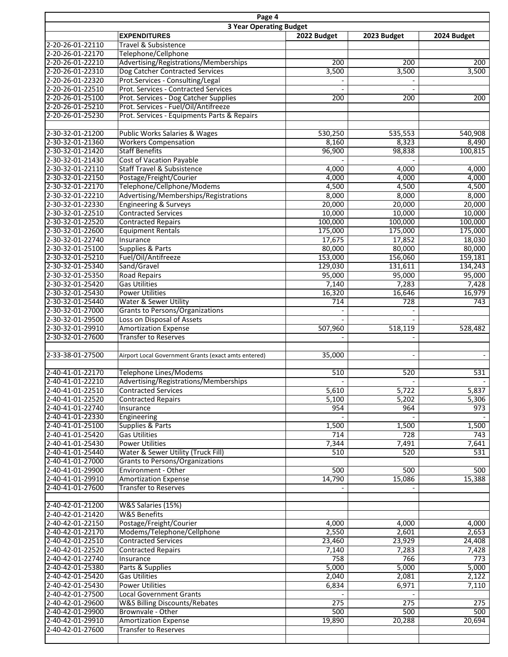| Page 4<br><b>3 Year Operating Budget</b> |                                                      |             |             |             |
|------------------------------------------|------------------------------------------------------|-------------|-------------|-------------|
|                                          | <b>EXPENDITURES</b>                                  | 2022 Budget | 2023 Budget | 2024 Budget |
| 2-20-26-01-22110                         | Travel & Subsistence                                 |             |             |             |
| 2-20-26-01-22170                         | Telephone/Cellphone                                  |             |             |             |
| 2-20-26-01-22210                         | Advertising/Registrations/Memberships                | 200         | 200         | 200         |
| 2-20-26-01-22310                         | Dog Catcher Contracted Services                      | 3,500       | 3,500       | 3,500       |
| 2-20-26-01-22320                         | Prot.Services - Consulting/Legal                     |             |             |             |
| 2-20-26-01-22510                         | Prot. Services - Contracted Services                 |             |             |             |
| 2-20-26-01-25100                         | Prot. Services - Dog Catcher Supplies                | 200         | 200         | 200         |
| 2-20-26-01-25210                         | Prot. Services - Fuel/Oil/Antifreeze                 |             |             |             |
| 2-20-26-01-25230                         | Prot. Services - Equipments Parts & Repairs          |             |             |             |
|                                          |                                                      |             |             |             |
| 2-30-32-01-21200                         | Public Works Salaries & Wages                        | 530,250     | 535,553     | 540,908     |
| 2-30-32-01-21360                         | <b>Workers Compensation</b>                          | 8,160       | 8,323       | 8,490       |
| 2-30-32-01-21420                         | <b>Staff Benefits</b>                                | 96,900      | 98,838      | 100,815     |
| 2-30-32-01-21430                         | Cost of Vacation Payable                             |             |             |             |
| 2-30-32-01-22110                         | <b>Staff Travel &amp; Subsistence</b>                | 4,000       | 4,000       | 4,000       |
| 2-30-32-01-22150                         | Postage/Freight/Courier                              | 4,000       | 4,000       | 4,000       |
| 2-30-32-01-22170                         | Telephone/Cellphone/Modems                           | 4,500       | 4,500       | 4,500       |
| 2-30-32-01-22210                         | Advertising/Memberships/Registrations                | 8,000       | 8,000       | 8,000       |
| 2-30-32-01-22330                         | <b>Engineering &amp; Surveys</b>                     | 20,000      | 20,000      | 20,000      |
| 2-30-32-01-22510                         | <b>Contracted Services</b>                           | 10,000      | 10,000      | 10,000      |
| 2-30-32-01-22520                         | <b>Contracted Repairs</b>                            | 100,000     | 100,000     | 100,000     |
| 2-30-32-01-22600                         | <b>Equipment Rentals</b>                             | 175,000     | 175,000     | 175,000     |
| 2-30-32-01-22740                         | Insurance                                            | 17,675      | 17,852      | 18,030      |
| 2-30-32-01-25100                         | Supplies & Parts                                     | 80,000      | 80,000      | 80,000      |
| 2-30-32-01-25210                         | Fuel/Oil/Antifreeze                                  | 153,000     | 156,060     | 159,181     |
| 2-30-32-01-25340                         | Sand/Gravel                                          | 129,030     | 131,611     | 134,243     |
| 2-30-32-01-25350                         | <b>Road Repairs</b>                                  | 95,000      | 95,000      | 95,000      |
| 2-30-32-01-25420                         | <b>Gas Utilities</b>                                 | 7,140       | 7,283       | 7,428       |
| 2-30-32-01-25430                         | <b>Power Utilities</b>                               | 16,320      | 16,646      | 16,979      |
| 2-30-32-01-25440                         | Water & Sewer Utility                                | 714         | 728         | 743         |
| 2-30-32-01-27000                         | Grants to Persons/Organizations                      |             |             |             |
| 2-30-32-01-29500                         | Loss on Disposal of Assets                           |             |             |             |
| 2-30-32-01-29910                         | <b>Amortization Expense</b>                          | 507,960     | 518,119     | 528,482     |
| 2-30-32-01-27600                         | <b>Transfer to Reserves</b>                          |             |             |             |
|                                          |                                                      |             |             |             |
| 2-33-38-01-27500                         | Airport Local Government Grants (exact amts entered) | 35,000      |             |             |
| 2-40-41-01-22170                         | <b>Telephone Lines/Modems</b>                        | 510         | 520         | 531         |
| 2-40-41-01-22210                         | Advertising/Registrations/Memberships                |             |             |             |
| 2-40-41-01-22510                         | Contracted Services                                  | 5,610       | 5,722       | 5,837       |
| 2-40-41-01-22520                         | <b>Contracted Repairs</b>                            | 5,100       | 5,202       | 5,306       |
| 2-40-41-01-22740                         | Insurance                                            | 954         | 964         | 973         |
| 2-40-41-01-22330                         | Engineering                                          |             |             |             |
| 2-40-41-01-25100                         | Supplies & Parts                                     | 1,500       | 1,500       | 1,500       |
| 2-40-41-01-25420                         | <b>Gas Utilities</b>                                 | 714         | 728         | 743         |
| 2-40-41-01-25430                         | <b>Power Utilities</b>                               | 7,344       | 7,491       | 7,641       |
| 2-40-41-01-25440                         | Water & Sewer Utility (Truck Fill)                   | 510         | 520         | 531         |
| 2-40-41-01-27000                         | Grants to Persons/Organizations                      |             |             |             |
| 2-40-41-01-29900                         | Environment - Other                                  | 500         | 500         | 500         |
| 2-40-41-01-29910                         | <b>Amortization Expense</b>                          | 14,790      | 15,086      | 15,388      |
| 2-40-41-01-27600                         | <b>Transfer to Reserves</b>                          |             |             |             |
|                                          |                                                      |             |             |             |
| 2-40-42-01-21200                         | W&S Salaries (15%)                                   |             |             |             |
| 2-40-42-01-21420                         | <b>W&amp;S Benefits</b>                              |             |             |             |
| 2-40-42-01-22150                         | Postage/Freight/Courier                              | 4,000       | 4,000       | 4,000       |
| 2-40-42-01-22170                         | Modems/Telephone/Cellphone                           | 2,550       | 2,601       | 2,653       |
| 2-40-42-01-22510                         | <b>Contracted Services</b>                           | 23,460      | 23,929      | 24,408      |
| 2-40-42-01-22520                         | <b>Contracted Repairs</b>                            | 7,140       | 7,283       | 7,428       |
| 2-40-42-01-22740                         | Insurance                                            | 758         | 766         | 773         |
| 2-40-42-01-25380                         | Parts & Supplies                                     | 5,000       | 5,000       | 5,000       |
| 2-40-42-01-25420                         | <b>Gas Utilities</b>                                 | 2,040       | 2,081       | 2,122       |
| 2-40-42-01-25430                         | <b>Power Utilities</b>                               | 6,834       | 6,971       | 7,110       |
| 2-40-42-01-27500                         | <b>Local Government Grants</b>                       |             |             |             |
| 2-40-42-01-29600                         | W&S Billing Discounts/Rebates                        | 275         | 275         | 275         |
| 2-40-42-01-29900                         | Brownvale - Other                                    | 500         | 500         | 500         |
| 2-40-42-01-29910                         | <b>Amortization Expense</b>                          | 19,890      | 20,288      | 20,694      |
| 2-40-42-01-27600                         | <b>Transfer to Reserves</b>                          |             |             |             |
|                                          |                                                      |             |             |             |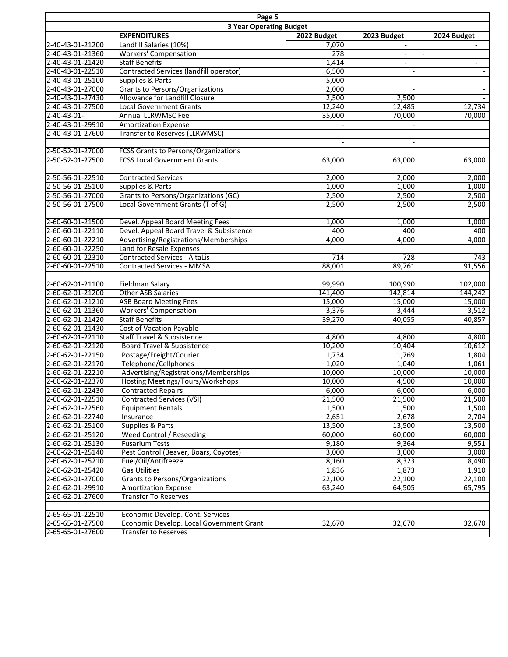| Page 5                         |                                             |                          |                          |                          |
|--------------------------------|---------------------------------------------|--------------------------|--------------------------|--------------------------|
| <b>3 Year Operating Budget</b> |                                             |                          |                          |                          |
|                                | <b>EXPENDITURES</b>                         | 2022 Budget              | 2023 Budget              | 2024 Budget              |
| 2-40-43-01-21200               | Landfill Salaries (10%)                     | 7,070                    | $\blacksquare$           | $\blacksquare$           |
| 2-40-43-01-21360               | <b>Workers' Compensation</b>                | 278                      | $\overline{\phantom{a}}$ |                          |
| 2-40-43-01-21420               | <b>Staff Benefits</b>                       | 1,414                    | $\overline{\phantom{a}}$ | $\overline{\phantom{a}}$ |
| 2-40-43-01-22510               | Contracted Services (landfill operator)     | 6,500                    |                          |                          |
| 2-40-43-01-25100               | Supplies & Parts                            | 5,000                    |                          |                          |
| 2-40-43-01-27000               | <b>Grants to Persons/Organizations</b>      | 2,000                    |                          |                          |
| 2-40-43-01-27430               | <b>Allowance for Landfill Closure</b>       | 2,500                    | 2,500                    |                          |
| 2-40-43-01-27500               | <b>Local Government Grants</b>              | 12,240                   | 12,485                   | 12,734                   |
| 2-40-43-01-                    | <b>Annual LLRWMSC Fee</b>                   | 35,000                   | 70,000                   | 70,000                   |
| 2-40-43-01-29910               | <b>Amortization Expense</b>                 |                          |                          |                          |
| 2-40-43-01-27600               | <b>Transfer to Reserves (LLRWMSC)</b>       | $\overline{\phantom{a}}$ | $\blacksquare$           | $\overline{\phantom{a}}$ |
|                                |                                             |                          |                          |                          |
| 2-50-52-01-27000               | <b>FCSS Grants to Persons/Organizations</b> |                          |                          |                          |
| 2-50-52-01-27500               | <b>FCSS Local Government Grants</b>         | 63,000                   | 63,000                   | 63,000                   |
|                                |                                             |                          |                          |                          |
| 2-50-56-01-22510               | <b>Contracted Services</b>                  | 2,000                    | 2,000                    | 2,000                    |
| 2-50-56-01-25100               | Supplies & Parts                            | 1,000                    | 1,000                    | 1,000                    |
| 2-50-56-01-27000               | Grants to Persons/Organizations (GC)        | 2,500                    | 2,500                    | 2,500                    |
| 2-50-56-01-27500               | Local Government Grants (T of G)            | 2,500                    | 2,500                    | 2,500                    |
|                                |                                             |                          |                          |                          |
| 2-60-60-01-21500               | Devel. Appeal Board Meeting Fees            | 1,000                    | 1,000                    | 1,000                    |
| 2-60-60-01-22110               | Devel. Appeal Board Travel & Subsistence    | 400                      | 400                      | 400                      |
| 2-60-60-01-22210               | Advertising/Registrations/Memberships       | 4,000                    | 4,000                    | 4,000                    |
| 2-60-60-01-22250               | Land for Resale Expenses                    |                          |                          |                          |
| 2-60-60-01-22310               | <b>Contracted Services - AltaLis</b>        | 714                      | 728                      | 743                      |
| 2-60-60-01-22510               | <b>Contracted Services - MMSA</b>           | 88,001                   | 89,761                   | 91,556                   |
|                                |                                             |                          |                          |                          |
| 2-60-62-01-21100               | <b>Fieldman Salary</b>                      | 99,990                   | 100,990                  | 102,000                  |
| 2-60-62-01-21200               | <b>Other ASB Salaries</b>                   | 141,400                  | 142,814                  | 144,242                  |
| 2-60-62-01-21210               | <b>ASB Board Meeting Fees</b>               | 15,000                   | 15,000                   | 15,000                   |
| 2-60-62-01-21360               | <b>Workers' Compensation</b>                | 3,376                    | 3,444                    | 3,512                    |
| 2-60-62-01-21420               | <b>Staff Benefits</b>                       | 39,270                   | 40,055                   | 40,857                   |
| 2-60-62-01-21430               | <b>Cost of Vacation Payable</b>             |                          |                          |                          |
| 2-60-62-01-22110               | <b>Staff Travel &amp; Subsistence</b>       | 4,800                    | 4,800                    | 4,800                    |
| 2-60-62-01-22120               | Board Travel & Subsistence                  | 10,200                   | 10,404                   | 10,612                   |
| 2-60-62-01-22150               | Postage/Freight/Courier                     | 1,734                    | 1,769                    | 1,804                    |
| 2-60-62-01-22170               | Telephone/Cellphones                        | 1,020                    | 1,040                    | 1,061                    |
| 2-60-62-01-22210               | Advertising/Registrations/Memberships       | 10,000                   | 10,000                   | 10,000                   |
| 2-60-62-01-22370               | Hosting Meetings/Tours/Workshops            | 10,000                   | 4,500                    | 10,000                   |
| 2-60-62-01-22430               | <b>Contracted Repairs</b>                   | 6,000                    | 6,000                    | 6,000                    |
| 2-60-62-01-22510               | Contracted Services (VSI)                   | 21,500                   | 21,500                   | 21,500                   |
| 2-60-62-01-22560               | <b>Equipment Rentals</b>                    | 1,500                    | 1,500                    | 1,500                    |
| 2-60-62-01-22740               | Insurance                                   | 2,651                    | 2,678                    | 2,704                    |
| 2-60-62-01-25100               | Supplies & Parts                            | 13,500                   | 13,500                   | 13,500                   |
| 2-60-62-01-25120               | <b>Weed Control / Reseeding</b>             | 60,000                   | 60,000                   | 60,000                   |
| 2-60-62-01-25130               | <b>Fusarium Tests</b>                       | 9,180                    | 9,364                    | 9,551                    |
| 2-60-62-01-25140               | Pest Control (Beaver, Boars, Coyotes)       | 3,000                    | 3,000                    | 3,000                    |
| 2-60-62-01-25210               | Fuel/Oil/Antifreeze                         | 8,160                    | 8,323                    | 8,490                    |
| 2-60-62-01-25420               | <b>Gas Utilities</b>                        | 1,836                    | 1,873                    | 1,910                    |
| 2-60-62-01-27000               | Grants to Persons/Organizations             | 22,100                   | 22,100                   | 22,100                   |
| 2-60-62-01-29910               | <b>Amortization Expense</b>                 | 63,240                   | 64,505                   | 65,795                   |
| 2-60-62-01-27600               | <b>Transfer To Reserves</b>                 |                          |                          |                          |
|                                |                                             |                          |                          |                          |
| 2-65-65-01-22510               | Economic Develop. Cont. Services            |                          |                          |                          |
| 2-65-65-01-27500               | Economic Develop. Local Government Grant    | 32,670                   | 32,670                   | 32,670                   |
| 2-65-65-01-27600               | <b>Transfer to Reserves</b>                 |                          |                          |                          |